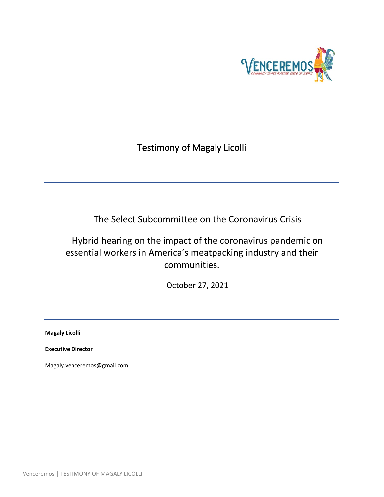

Testimony of Magaly Licolli

The Select Subcommittee on the Coronavirus Crisis

Hybrid hearing on the impact of the coronavirus pandemic on essential workers in America's meatpacking industry and their communities.

October 27, 2021

**Magaly Licolli**

**Executive Director**

Magaly.venceremos@gmail.com

Venceremos | TESTIMONY OF MAGALY LICOLLI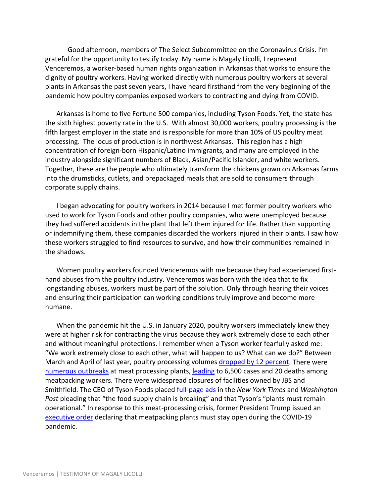Good afternoon, members of The Select Subcommittee on the Coronavirus Crisis. I'm grateful for the opportunity to testify today. My name is Magaly Licolli, I represent Venceremos, a worker-based human rights organization in Arkansas that works to ensure the dignity of poultry workers. Having worked directly with numerous poultry workers at several plants in Arkansas the past seven years, I have heard firsthand from the very beginning of the pandemic how poultry companies exposed workers to contracting and dying from COVID.

Arkansas is home to five Fortune 500 companies, including Tyson Foods. Yet, the state has the sixth highest poverty rate in the U.S. With almost 30,000 workers, poultry processing is the fifth largest employer in the state and is responsible for more than 10% of US poultry meat processing. The locus of production is in northwest Arkansas. This region has a high concentration of foreign-born Hispanic/Latino immigrants, and many are employed in the industry alongside significant numbers of Black, Asian/Pacific Islander, and white workers. Together, these are the people who ultimately transform the chickens grown on Arkansas farms into the drumsticks, cutlets, and prepackaged meals that are sold to consumers through corporate supply chains.

I began advocating for poultry workers in 2014 because I met former poultry workers who used to work for Tyson Foods and other poultry companies, who were unemployed because they had suffered accidents in the plant that left them injured for life. Rather than supporting or indemnifying them, these companies discarded the workers injured in their plants. I saw how these workers struggled to find resources to survive, and how their communities remained in the shadows.

Women poultry workers founded Venceremos with me because they had experienced firsthand abuses from the poultry industry. Venceremos was born with the idea that to fix longstanding abuses, workers must be part of the solution. Only through hearing their voices and ensuring their participation can working conditions truly improve and become more humane.

When the pandemic hit the U.S. in January 2020, poultry workers immediately knew they were at higher risk for contracting the virus because they work extremely close to each other and without meaningful protections. I remember when a Tyson worker fearfully asked me: "We work extremely close to each other, what will happen to us? What can we do?" Between March and April of last year, poultry processing volumes [dropped by 12 percent.](https://www.ers.usda.gov/data-products/chart-gallery/gallery/chart-detail/?chartId=98331) There were [numerous outbreaks](https://thefern.org/2020/04/mapping-covid-19-in-meat-and-food-processing-plants/) at meat processing plants, [leading](http://www.ufcw.org/press/) to 6,500 cases and 20 deaths among meatpacking workers. There were widespread closures of facilities owned by JBS and Smithfield. The CEO of Tyson Foods placed [full-page ads](https://thefeed.blog/2020/04/26/feeding-the-nation-and-keeping-our-employees-healthy/) in the *New York Times* and *Washington Post* pleading that "the food supply chain is breaking" and that Tyson's "plants must remain operational." In response to this meat-processing crisis, former President Trump issued an [executive order](https://www.whitehouse.gov/presidential-actions/executive-order-delegating-authority-dpa-respect-food-supply-chain-resources-national-emergency-caused-outbreak-covid-19/) declaring that meatpacking plants must stay open during the COVID-19 pandemic.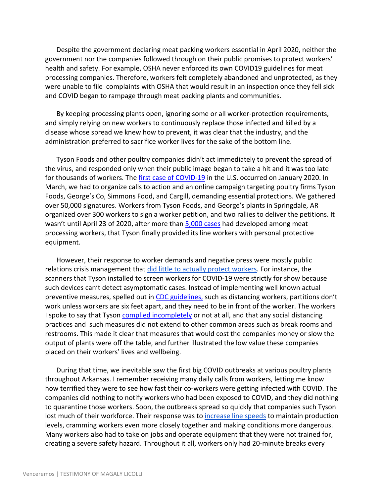Despite the government declaring meat packing workers essential in April 2020, neither the government nor the companies followed through on their public promises to protect workers' health and safety. For example, OSHA never enforced its own COVID19 guidelines for meat processing companies. Therefore, workers felt completely abandoned and unprotected, as they were unable to file complaints with OSHA that would result in an inspection once they fell sick and COVID began to rampage through meat packing plants and communities.

By keeping processing plants open, ignoring some or all worker-protection requirements, and simply relying on new workers to continuously replace those infected and killed by a disease whose spread we knew how to prevent, it was clear that the industry, and the administration preferred to sacrifice worker lives for the sake of the bottom line.

Tyson Foods and other poultry companies didn't act immediately to prevent the spread of the virus, and responded only when their public image began to take a hit and it was too late for thousands of workers. The [first case of COVID-19](https://www.nejm.org/doi/10.1056/NEJMoa2001191) in the U.S. occurred on January 2020. In March, we had to organize calls to action and an online campaign targeting poultry firms Tyson Foods, George's Co, Simmons Food, and Cargill, demanding essential protections. We gathered over 50,000 signatures. Workers from Tyson Foods, and George's plants in Springdale, AR organized over 300 workers to sign a worker petition, and two rallies to deliver the petitions. It wasn't until April 23 of 2020, after more than [5,000 cases](http://www.ufcw.org/category/press-releases/) had developed among meat processing workers, that Tyson finally provided its line workers with personal protective equipment.

However, their response to worker demands and negative press were mostly public relations crisis management that [did little to actually protect workers.](https://talkbusiness.net/2021/09/some-tyson-foods-workers-voice-concern-over-safety-and-lack-of-pay/) For instance, the scanners that Tyson installed to screen workers for COVID-19 were strictly for show because such devices can't detect asymptomatic cases. Instead of implementing well known actual preventive measures, spelled out in [CDC guidelines,](https://www.cdc.gov/coronavirus/2019-ncov/community/organizations/meat-poultry-processing-workers-employers.html) such as distancing workers, partitions don't work unless workers are six feet apart, and they need to be in front of the worker. The workers I spoke to say that Tyson [complied incompletely](https://www.nwahomepage.com/news/featured-stories/exclusive-look-inside-nwa-tyson-plant/) or not at all, and that any social distancing practices and such measures did not extend to other common areas such as break rooms and restrooms. This made it clear that measures that would cost the companies money or slow the output of plants were off the table, and further illustrated the low value these companies placed on their workers' lives and wellbeing.

During that time, we inevitable saw the first big COVID outbreaks at various poultry plants throughout Arkansas. I remember receiving many daily calls from workers, letting me know how terrified they were to see how fast their co-workers were getting infected with COVID. The companies did nothing to notify workers who had been exposed to COVID, and they did nothing to quarantine those workers. Soon, the outbreaks spread so quickly that companies such Tyson lost much of their workforce. Their response was to [increase line speeds](https://thecounter.org/poultry-plants-line-speeds-covid-19-cases-tyson-cargill/) to maintain production levels, cramming workers even more closely together and making conditions more dangerous. Many workers also had to take on jobs and operate equipment that they were not trained for, creating a severe safety hazard. Throughout it all, workers only had 20-minute breaks every